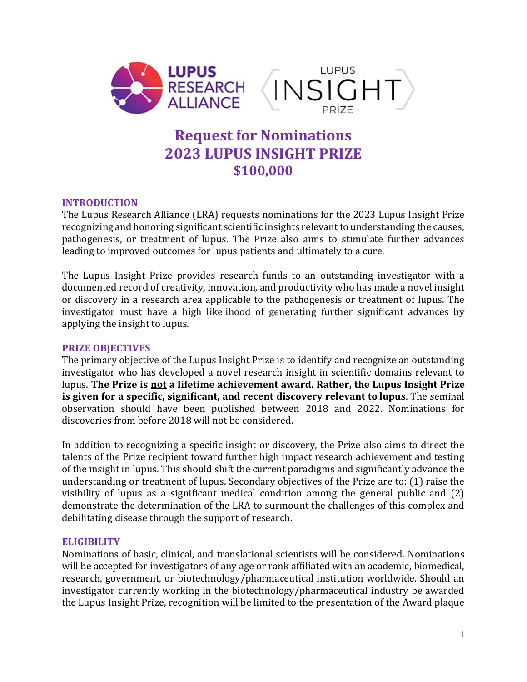

# **Request for Nominations 2023 LUPUS INSIGHT PRIZE \$100,000**

# **INTRODUCTION**

The Lupus Research Alliance (LRA) requests nominations for the 2023 Lupus Insight Prize recognizing and honoring significant scientific insights relevant to understanding the causes, pathogenesis, or treatment of lupus. The Prize also aims to stimulate further advances leading to improved outcomes for lupus patients and ultimately to a cure.

The Lupus Insight Prize provides research funds to an outstanding investigator with a documented record of creativity, innovation, and productivity who has made a novel insight or discovery in a research area applicable to the pathogenesis or treatment of lupus. The investigator must have a high likelihood of generating further significant advances by applying the insight to lupus.

# **PRIZE OBJECTIVES**

The primary objective of the Lupus Insight Prize is to identify and recognize an outstanding investigator who has developed a novel research insight in scientific domains relevant to lupus. **The Prize is not a lifetime achievement award. Rather, the Lupus Insight Prize is given for a specific, significant, and recent discovery relevant to lupus**. The seminal observation should have been published between 2018 and 2022. Nominations for discoveries from before 2018 will not be considered.

In addition to recognizing a specific insight or discovery, the Prize also aims to direct the talents of the Prize recipient toward further high impact research achievement and testing of the insight in lupus. This should shift the current paradigms and significantly advance the understanding or treatment of lupus. Secondary objectives of the Prize are to: (1) raise the visibility of lupus as a significant medical condition among the general public and (2) demonstrate the determination of the LRA to surmount the challenges of this complex and debilitating disease through the support of research.

# **ELIGIBILITY**

Nominations of basic, clinical, and translational scientists will be considered. Nominations will be accepted for investigators of any age or rank affiliated with an academic, biomedical, research, government, or biotechnology/pharmaceutical institution worldwide. Should an investigator currently working in the biotechnology/pharmaceutical industry be awarded the Lupus Insight Prize, recognition will be limited to the presentation of the Award plaque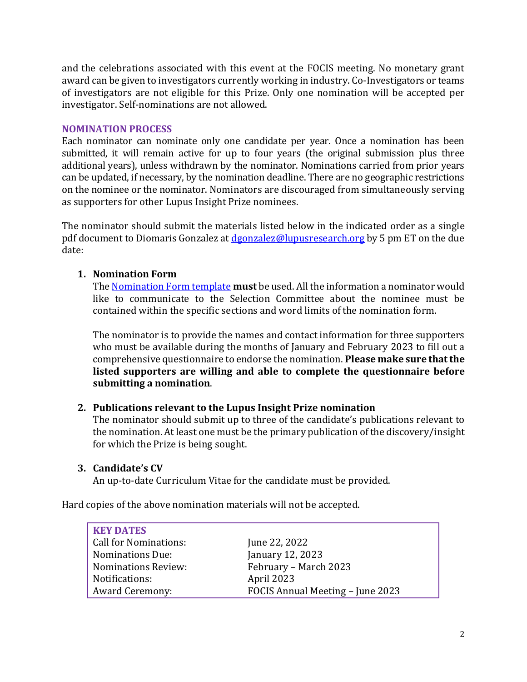and the celebrations associated with this event at the FOCIS meeting. No monetary grant award can be given to investigators currently working in industry. Co-Investigators or teams of investigators are not eligible for this Prize. Only one nomination will be accepted per investigator. Self-nominations are not allowed.

## **NOMINATION PROCESS**

Each nominator can nominate only one candidate per year. Once a nomination has been submitted, it will remain active for up to four years (the original submission plus three additional years), unless withdrawn by the nominator. Nominations carried from prior years can be updated, if necessary, by the nomination deadline. There are no geographic restrictions on the nominee or the nominator. Nominators are discouraged from simultaneously serving as supporters for other Lupus Insight Prize nominees.

The nominator should submit the materials listed below in the indicated order as a single pdf document to Diomaris Gonzalez at [dgonzalez@lupusresearch.org](mailto:dgonzalez@lupusresearch.org) by 5 pm ET on the due date:

# **1. Nomination Form**

The [Nomination Form](https://www.lupusresearch.org/wp-content/uploads/2022/06/2023-LIP-Nomination-Form.docx) template **must** be used. All the information a nominator would like to communicate to the Selection Committee about the nominee must be contained within the specific sections and word limits of the nomination form.

The nominator is to provide the names and contact information for three supporters who must be available during the months of January and February 2023 to fill out a comprehensive questionnaire to endorse the nomination. **Please make sure that the listed supporters are willing and able to complete the questionnaire before submitting a nomination**.

# **2. Publications relevant to the Lupus Insight Prize nomination**

The nominator should submit up to three of the candidate's publications relevant to the nomination. At least one must be the primary publication of the discovery/insight for which the Prize is being sought.

# **3. Candidate's CV**

An up-to-date Curriculum Vitae for the candidate must be provided.

Hard copies of the above nomination materials will not be accepted.

| <b>KEY DATES</b>             |                                  |
|------------------------------|----------------------------------|
| <b>Call for Nominations:</b> | June 22, 2022                    |
| <b>Nominations Due:</b>      | January 12, 2023                 |
| <b>Nominations Review:</b>   | February - March 2023            |
| Notifications:               | April 2023                       |
| <b>Award Ceremony:</b>       | FOCIS Annual Meeting – June 2023 |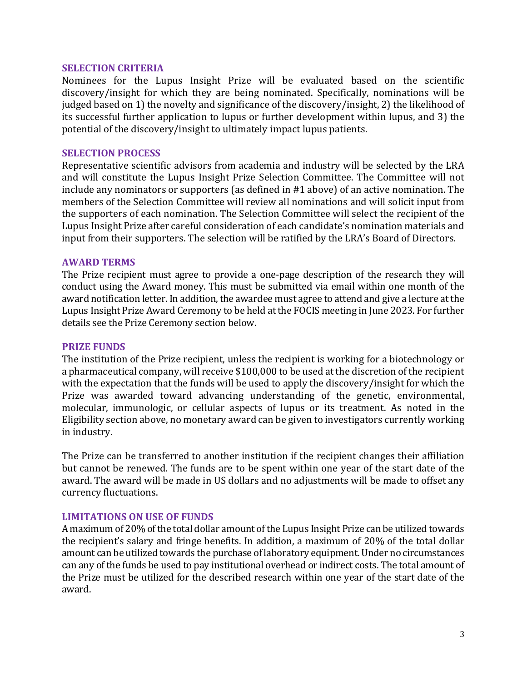#### **SELECTION CRITERIA**

Nominees for the Lupus Insight Prize will be evaluated based on the scientific discovery/insight for which they are being nominated. Specifically, nominations will be judged based on 1) the novelty and significance of the discovery/insight, 2) the likelihood of its successful further application to lupus or further development within lupus, and 3) the potential of the discovery/insight to ultimately impact lupus patients.

### **SELECTION PROCESS**

Representative scientific advisors from academia and industry will be selected by the LRA and will constitute the Lupus Insight Prize Selection Committee. The Committee will not include any nominators or supporters (as defined in #1 above) of an active nomination. The members of the Selection Committee will review all nominations and will solicit input from the supporters of each nomination. The Selection Committee will select the recipient of the Lupus Insight Prize after careful consideration of each candidate's nomination materials and input from their supporters. The selection will be ratified by the LRA's Board of Directors.

#### **AWARD TERMS**

The Prize recipient must agree to provide a one-page description of the research they will conduct using the Award money. This must be submitted via email within one month of the award notification letter. In addition, the awardee must agree to attend and give a lecture at the Lupus Insight Prize Award Ceremony to be held at the FOCIS meeting in June 2023. For further details see the Prize Ceremony section below.

#### **PRIZE FUNDS**

The institution of the Prize recipient, unless the recipient is working for a biotechnology or a pharmaceutical company, will receive \$100,000 to be used at the discretion of the recipient with the expectation that the funds will be used to apply the discovery/insight for which the Prize was awarded toward advancing understanding of the genetic, environmental, molecular, immunologic, or cellular aspects of lupus or its treatment. As noted in the Eligibility section above, no monetary award can be given to investigators currently working in industry.

The Prize can be transferred to another institution if the recipient changes their affiliation but cannot be renewed. The funds are to be spent within one year of the start date of the award. The award will be made in US dollars and no adjustments will be made to offset any currency fluctuations.

## **LIMITATIONS ON USE OF FUNDS**

A maximum of 20% of the total dollar amount of the Lupus Insight Prize can be utilized towards the recipient's salary and fringe benefits. In addition, a maximum of 20% of the total dollar amount can be utilized towards the purchase of laboratory equipment. Under no circumstances can any of the funds be used to pay institutional overhead or indirect costs. The total amount of the Prize must be utilized for the described research within one year of the start date of the award.